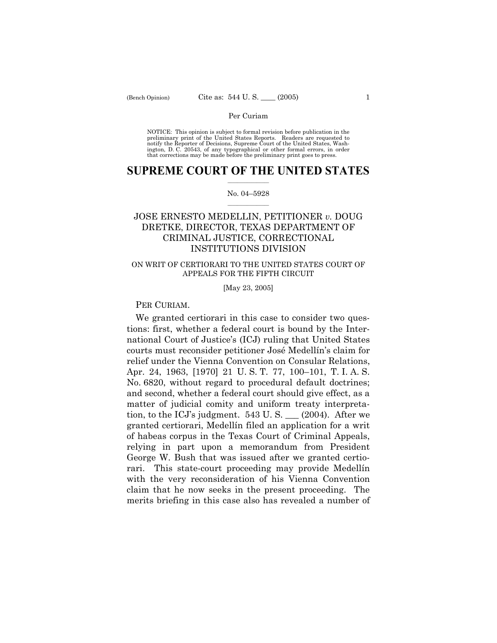NOTICE: This opinion is subject to formal revision before publication in the preliminary print of the United States Reports. Readers are requested to notify the Reporter of Decisions, Supreme Court of the United States, Washington, D. C. 20543, of any typographical or other formal errors, in order that corrections may be made before the preliminary print goes to press.

## **SUPREME COURT OF THE UNITED STATES**  $\frac{1}{2}$  ,  $\frac{1}{2}$  ,  $\frac{1}{2}$  ,  $\frac{1}{2}$  ,  $\frac{1}{2}$  ,  $\frac{1}{2}$  ,  $\frac{1}{2}$

## No. 04-5928  $\mathcal{L}=\mathcal{L}$

# JOSE ERNESTO MEDELLIN, PETITIONER *v.* DOUG DRETKE, DIRECTOR, TEXAS DEPARTMENT OF CRIMINAL JUSTICE, CORRECTIONAL INSTITUTIONS DIVISION

# ON WRIT OF CERTIORARI TO THE UNITED STATES COURT OF APPEALS FOR THE FIFTH CIRCUIT

[May 23, 2005]

# PER CURIAM.

 We granted certiorari in this case to consider two questions: first, whether a federal court is bound by the International Court of Justice's (ICJ) ruling that United States courts must reconsider petitioner JosÈ MedellÌnís claim for relief under the Vienna Convention on Consular Relations, Apr. 24, 1963, [1970] 21 U.S.T. 77, 100–101, T.I.A.S. No. 6820, without regard to procedural default doctrines; and second, whether a federal court should give effect, as a matter of judicial comity and uniform treaty interpretation, to the ICJ's judgment.  $543$  U. S.  $\_\_$  (2004). After we granted certiorari, Medellín filed an application for a writ of habeas corpus in the Texas Court of Criminal Appeals, relying in part upon a memorandum from President George W. Bush that was issued after we granted certiorari. This state-court proceeding may provide Medellín with the very reconsideration of his Vienna Convention claim that he now seeks in the present proceeding. The merits briefing in this case also has revealed a number of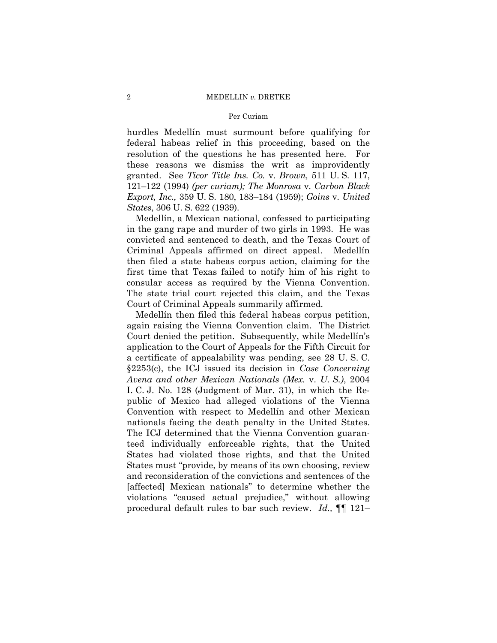hurdles Medellin must surmount before qualifying for federal habeas relief in this proceeding, based on the resolution of the questions he has presented here. For these reasons we dismiss the writ as improvidently granted. See *Ticor Title Ins. Co.* v. *Brown,* 511 U. S. 117, 121–122 (1994) *(per curiam); The Monrosa* v. *Carbon Black Export, Inc.,* 359 U.S. 180, 183–184 (1959); *Goins* v. *United States*, 306 U. S. 622 (1939).

Medellín, a Mexican national, confessed to participating in the gang rape and murder of two girls in 1993. He was convicted and sentenced to death, and the Texas Court of Criminal Appeals affirmed on direct appeal. Medellin then filed a state habeas corpus action, claiming for the first time that Texas failed to notify him of his right to consular access as required by the Vienna Convention. The state trial court rejected this claim, and the Texas Court of Criminal Appeals summarily affirmed.

Medellin then filed this federal habeas corpus petition, again raising the Vienna Convention claim. The District Court denied the petition. Subsequently, while Medellin's application to the Court of Appeals for the Fifth Circuit for a certificate of appealability was pending, see 28 U. S. C. ß2253(c), the ICJ issued its decision in *Case Concerning Avena and other Mexican Nationals (Mex.* v. *U. S.)*, 2004 I. C. J. No. 128 (Judgment of Mar. 31), in which the Republic of Mexico had alleged violations of the Vienna Convention with respect to Medellin and other Mexican nationals facing the death penalty in the United States. The ICJ determined that the Vienna Convention guaranteed individually enforceable rights, that the United States had violated those rights, and that the United States must "provide, by means of its own choosing, review and reconsideration of the convictions and sentences of the [affected] Mexican nationals" to determine whether the violations "caused actual prejudice," without allowing procedural default rules to bar such review. *Id.*, **[1**] 121–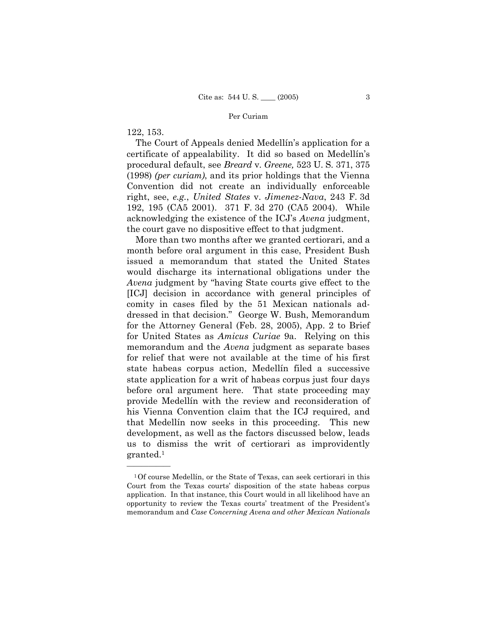122, 153.

óóóóóó

The Court of Appeals denied Medellín's application for a certificate of appealability. It did so based on Medellín's procedural default, see *Breard* v. *Greene,* 523 U. S. 371, 375 (1998) *(per curiam)*, and its prior holdings that the Vienna Convention did not create an individually enforceable right, see, *e.g.*, *United States* v. *Jimenez-Nava*, 243 F. 3d 192, 195 (CA5 2001). 371 F. 3d 270 (CA5 2004). While acknowledging the existence of the ICJ's *Avena* judgment, the court gave no dispositive effect to that judgment.

 More than two months after we granted certiorari, and a month before oral argument in this case, President Bush issued a memorandum that stated the United States would discharge its international obligations under the *Avena* judgment by "having State courts give effect to the [ICJ] decision in accordance with general principles of comity in cases filed by the 51 Mexican nationals addressed in that decision.î George W. Bush, Memorandum for the Attorney General (Feb. 28, 2005), App. 2 to Brief for United States as *Amicus Curiae* 9a. Relying on this memorandum and the *Avena* judgment as separate bases for relief that were not available at the time of his first state habeas corpus action, Medellín filed a successive state application for a writ of habeas corpus just four days before oral argument here. That state proceeding may provide MedellÌn with the review and reconsideration of his Vienna Convention claim that the ICJ required, and that Medellin now seeks in this proceeding. This new development, as well as the factors discussed below, leads us to dismiss the writ of certiorari as improvidently granted.1

<sup>&</sup>lt;sup>1</sup>Of course Medellín, or the State of Texas, can seek certiorari in this Court from the Texas courts' disposition of the state habeas corpus application. In that instance, this Court would in all likelihood have an opportunity to review the Texas courts' treatment of the President's memorandum and *Case Concerning Avena and other Mexican Nationals*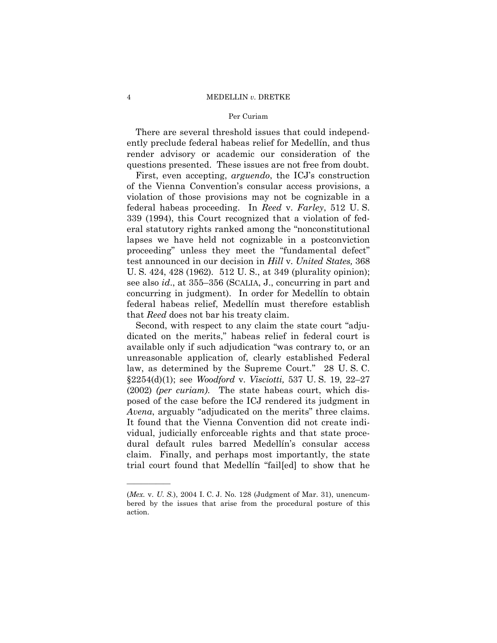## 4 MEDELLIN *v.* DRETKE

## Per Curiam

 There are several threshold issues that could independently preclude federal habeas relief for Medellín, and thus render advisory or academic our consideration of the questions presented. These issues are not free from doubt.

First, even accepting, *arguendo*, the ICJ's construction of the Vienna Conventionís consular access provisions, a violation of those provisions may not be cognizable in a federal habeas proceeding. In *Reed* v. *Farley*, 512 U. S. 339 (1994), this Court recognized that a violation of federal statutory rights ranked among the "nonconstitutional lapses we have held not cognizable in a postconviction proceeding" unless they meet the "fundamental defect" test announced in our decision in *Hill* v. *United States,* 368 U. S. 424, 428 (1962). 512 U. S., at 349 (plurality opinion); see also *id.*, at 355–356 (SCALIA, J., concurring in part and concurring in judgment). In order for Medellín to obtain federal habeas relief, Medellín must therefore establish that *Reed* does not bar his treaty claim.

Second, with respect to any claim the state court "adjudicated on the merits," habeas relief in federal court is available only if such adjudication "was contrary to, or an unreasonable application of, clearly established Federal law, as determined by the Supreme Court." 28 U.S.C. §2254(d)(1); see *Woodford* v. *Visciotti*, 537 U.S. 19, 22–27 (2002) *(per curiam)*. The state habeas court, which disposed of the case before the ICJ rendered its judgment in *Avena*, arguably "adjudicated on the merits" three claims. It found that the Vienna Convention did not create individual, judicially enforceable rights and that state procedural default rules barred MedellÌnís consular access claim. Finally, and perhaps most importantly, the state trial court found that Medellin "fail[ed] to show that he

óóóóóó

<sup>(</sup>*Mex.* v. *U. S.*), 2004 I. C. J. No. 128 (Judgment of Mar. 31), unencumbered by the issues that arise from the procedural posture of this action.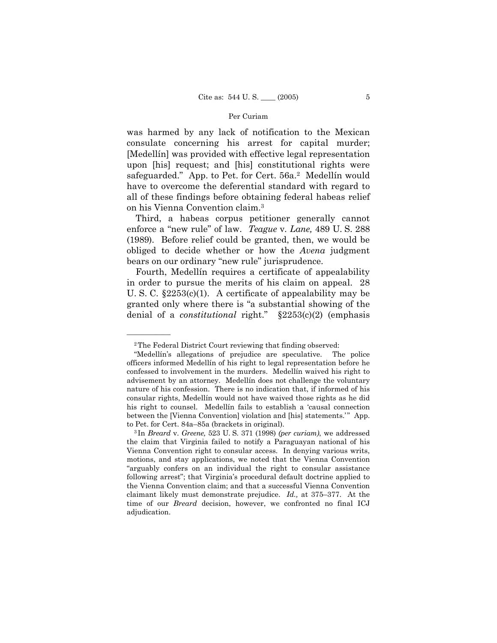was harmed by any lack of notification to the Mexican consulate concerning his arrest for capital murder; [MedellÌn] was provided with effective legal representation upon [his] request; and [his] constitutional rights were safeguarded." App. to Pet. for Cert. 56a.<sup>2</sup> Medellin would have to overcome the deferential standard with regard to all of these findings before obtaining federal habeas relief on his Vienna Convention claim.3

 Third, a habeas corpus petitioner generally cannot enforce a "new rule" of law. *Teague* v. *Lane*, 489 U.S. 288 (1989). Before relief could be granted, then, we would be obliged to decide whether or how the *Avena* judgment bears on our ordinary "new rule" jurisprudence.

Fourth, Medellín requires a certificate of appealability in order to pursue the merits of his claim on appeal. 28 U. S. C. ß2253(c)(1). A certificate of appealability may be granted only where there is "a substantial showing of the denial of a *constitutional* right.<sup>"</sup> §2253(c)(2) (emphasis

óóóóóó

<sup>2</sup>The Federal District Court reviewing that finding observed:

ìMedellÌnís allegations of prejudice are speculative. The police officers informed Medellín of his right to legal representation before he confessed to involvement in the murders. Medellín waived his right to advisement by an attorney. Medellin does not challenge the voluntary nature of his confession. There is no indication that, if informed of his consular rights, Medellín would not have waived those rights as he did his right to counsel. Medellín fails to establish a 'causal connection between the [Vienna Convention] violation and [his] statements.<sup>78</sup> App. to Pet. for Cert. 84a–85a (brackets in original).<br><sup>3</sup> In *Breard v. Greene*, 523 U. S. 371 (1998) *(per curiam)*, we addressed

the claim that Virginia failed to notify a Paraguayan national of his Vienna Convention right to consular access. In denying various writs, motions, and stay applications, we noted that the Vienna Convention ìarguably confers on an individual the right to consular assistance following arrest"; that Virginia's procedural default doctrine applied to the Vienna Convention claim; and that a successful Vienna Convention claimant likely must demonstrate prejudice. *Id.*, at 375–377. At the time of our *Breard* decision, however, we confronted no final ICJ adjudication.